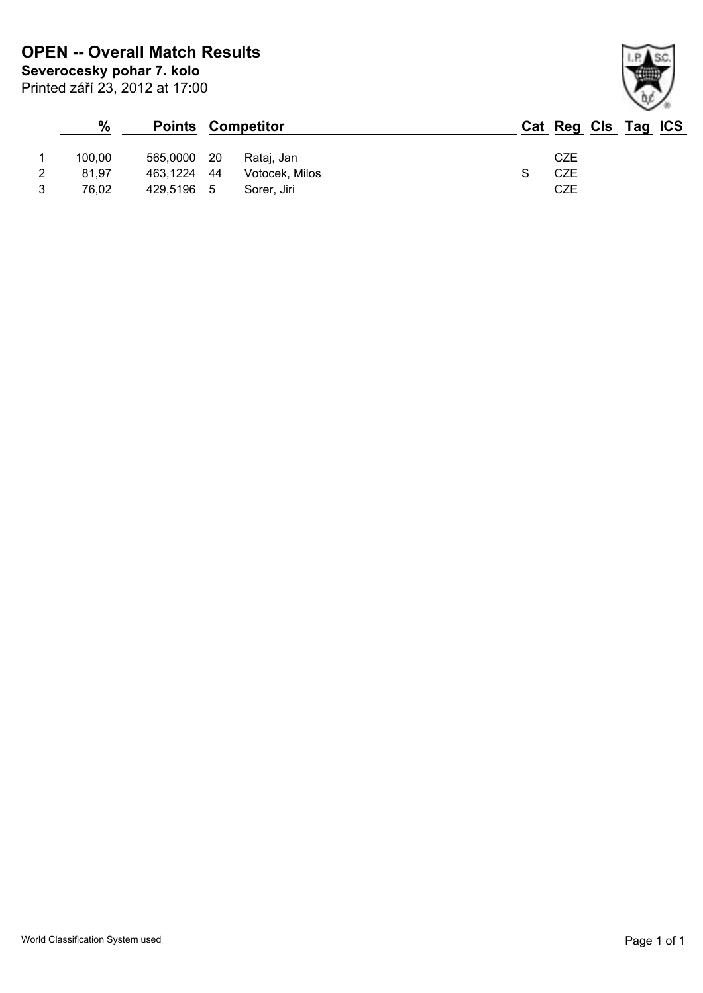|   | $\%$   |             |      | <b>Points Competitor</b> |     | Cat Reg Cls Tag ICS |
|---|--------|-------------|------|--------------------------|-----|---------------------|
|   | 100,00 | 565,0000    | - 20 | Rataj, Jan               | CZE |                     |
| 2 | 81,97  | 463,1224 44 |      | Votocek, Milos           | CZE |                     |
| 3 | 76.02  | 429,5196    | - 5  | Sorer, Jiri              | CZE |                     |

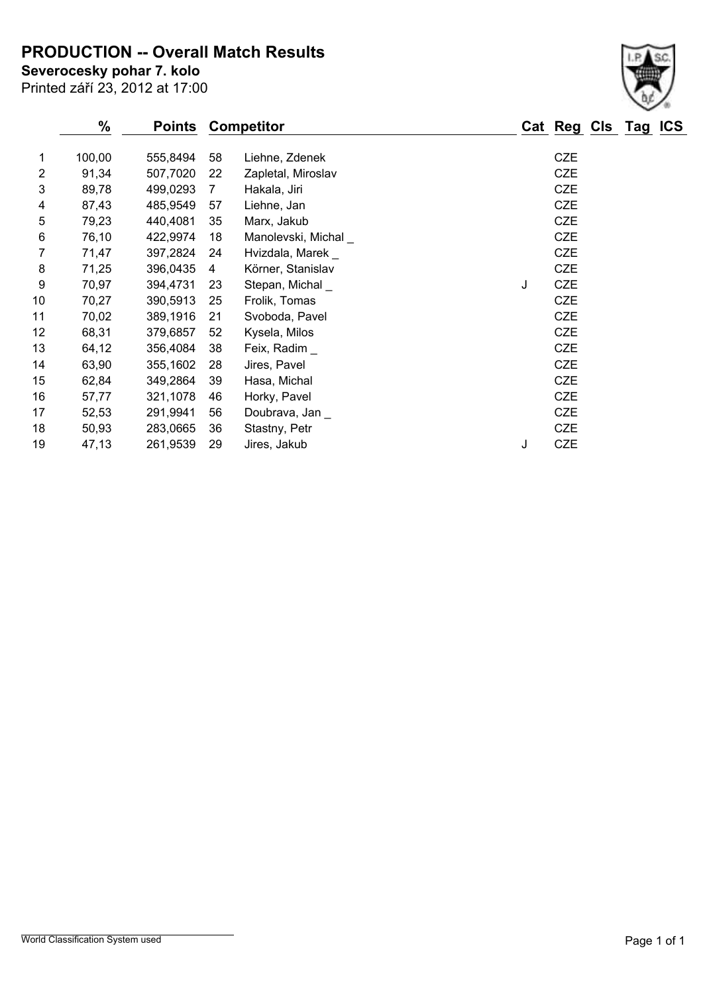**PRODUCTION -- Overall Match Results**

Printed září 23, 2012 at 17:00 **Severocesky pohar 7. kolo**

|                | $\%$   | <b>Points</b> |    | <b>Competitor</b>   |   | Cat Reg    | Cls |
|----------------|--------|---------------|----|---------------------|---|------------|-----|
| 1              | 100,00 | 555,8494      | 58 | Liehne, Zdenek      |   | <b>CZE</b> |     |
| $\overline{2}$ | 91,34  | 507,7020      | 22 | Zapletal, Miroslav  |   | <b>CZE</b> |     |
| 3              | 89,78  | 499,0293      | 7  | Hakala, Jiri        |   | <b>CZE</b> |     |
| 4              | 87,43  | 485,9549      | 57 | Liehne, Jan         |   | <b>CZE</b> |     |
| 5              | 79,23  | 440,4081      | 35 | Marx, Jakub         |   | <b>CZE</b> |     |
| 6              | 76,10  | 422,9974      | 18 | Manolevski, Michal_ |   | <b>CZE</b> |     |
| 7              | 71,47  | 397,2824      | 24 | Hvizdala, Marek _   |   | <b>CZE</b> |     |
| 8              | 71,25  | 396,0435      | 4  | Körner, Stanislav   |   | <b>CZE</b> |     |
| 9              | 70,97  | 394,4731      | 23 | Stepan, Michal_     | J | <b>CZE</b> |     |
| 10             | 70,27  | 390,5913      | 25 | Frolik, Tomas       |   | <b>CZE</b> |     |
| 11             | 70,02  | 389,1916      | 21 | Svoboda, Pavel      |   | <b>CZE</b> |     |
| 12             | 68,31  | 379,6857      | 52 | Kysela, Milos       |   | <b>CZE</b> |     |
| 13             | 64,12  | 356,4084      | 38 | Feix, Radim         |   | <b>CZE</b> |     |
| 14             | 63,90  | 355,1602      | 28 | Jires, Pavel        |   | <b>CZE</b> |     |
| 15             | 62,84  | 349,2864      | 39 | Hasa, Michal        |   | <b>CZE</b> |     |
| 16             | 57,77  | 321,1078      | 46 | Horky, Pavel        |   | <b>CZE</b> |     |
| 17             | 52,53  | 291,9941      | 56 | Doubrava, Jan       |   | <b>CZE</b> |     |
| 18             | 50,93  | 283,0665      | 36 | Stastny, Petr       |   | <b>CZE</b> |     |
| 19             | 47,13  | 261,9539      | 29 | Jires, Jakub        | J | <b>CZE</b> |     |

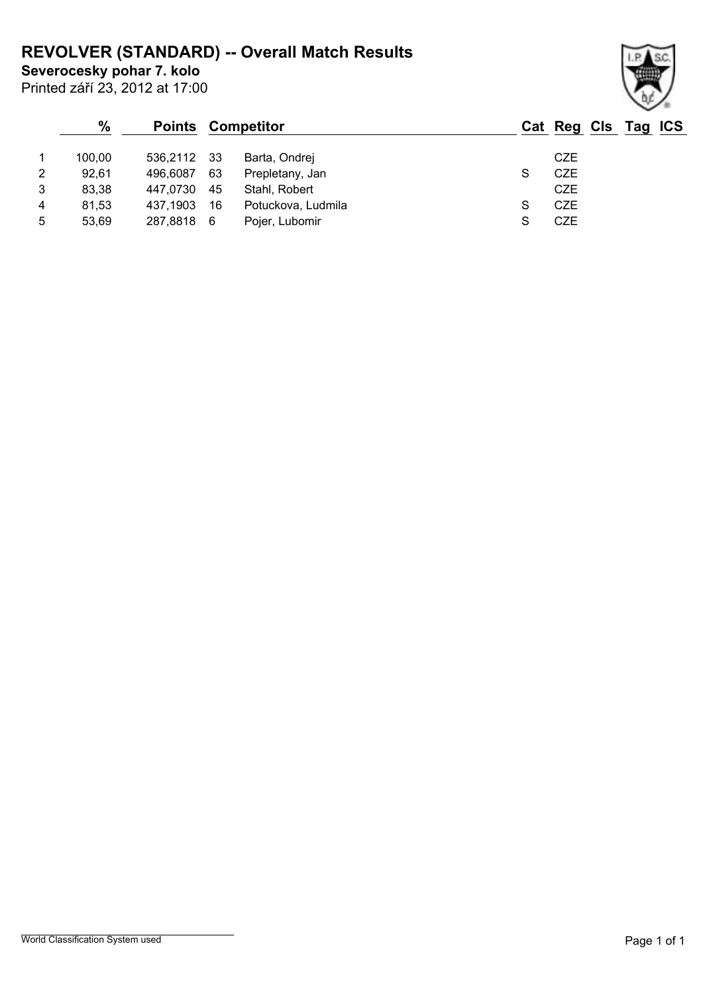## **REVOLVER (STANDARD) -- Overall Match Results**

**Severocesky pohar 7. kolo**

Printed září 23, 2012 at 17:00

## **% Points Competitor Cat Reg Cls Tag ICS** 1 100,00 536,2112 33 Barta, Ondrej CZE 2 92,61 496,6087 63 Prepletany, Jan S CZE 3 83,38 447,0730 45 Stahl, Robert CZE 4 81,53 437,1903 16 Potuckova, Ludmila **S** CZE 5 53,69 287,8818 6 Pojer, Lubomir S CZE